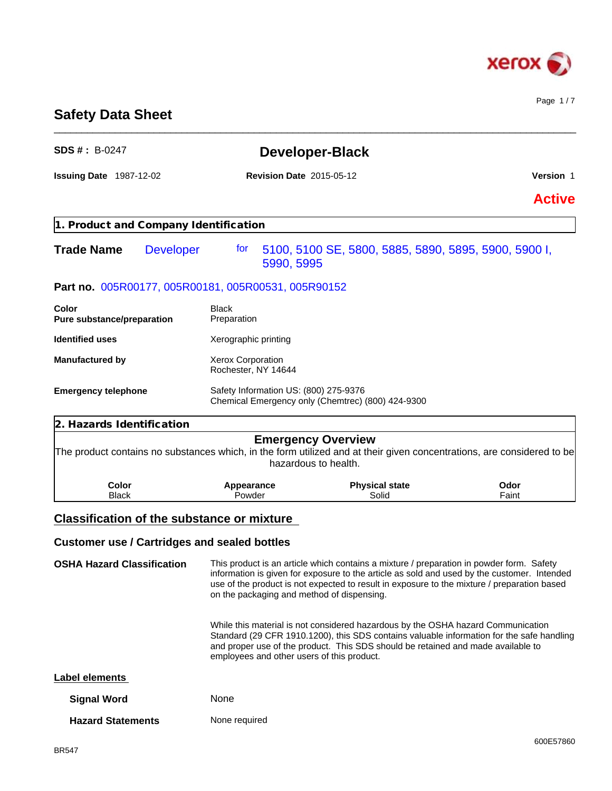

Page 1 / 7

# **Safety Data Sheet**

| <b>SDS #: B-0247</b>                  |                                                                                                                        | <b>Developer-Black</b>                                                                                                                                                                                                                                                                                          |               |  |  |
|---------------------------------------|------------------------------------------------------------------------------------------------------------------------|-----------------------------------------------------------------------------------------------------------------------------------------------------------------------------------------------------------------------------------------------------------------------------------------------------------------|---------------|--|--|
| <b>Issuing Date 1987-12-02</b>        |                                                                                                                        | <b>Revision Date 2015-05-12</b>                                                                                                                                                                                                                                                                                 |               |  |  |
|                                       |                                                                                                                        |                                                                                                                                                                                                                                                                                                                 | <b>Active</b> |  |  |
| 1. Product and Company Identification |                                                                                                                        |                                                                                                                                                                                                                                                                                                                 |               |  |  |
| <b>Trade Name</b>                     | <b>Developer</b><br>for<br>5990, 5995                                                                                  | 5100, 5100 SE, 5800, 5885, 5890, 5895, 5900, 5900 I,                                                                                                                                                                                                                                                            |               |  |  |
|                                       | Part no. 005R00177, 005R00181, 005R00531, 005R90152                                                                    |                                                                                                                                                                                                                                                                                                                 |               |  |  |
| Color<br>Pure substance/preparation   | <b>Black</b><br>Preparation                                                                                            |                                                                                                                                                                                                                                                                                                                 |               |  |  |
| <b>Identified uses</b>                | Xerographic printing                                                                                                   |                                                                                                                                                                                                                                                                                                                 |               |  |  |
| <b>Manufactured by</b>                | Xerox Corporation<br>Rochester, NY 14644                                                                               |                                                                                                                                                                                                                                                                                                                 |               |  |  |
| <b>Emergency telephone</b>            | Safety Information US: (800) 275-9376                                                                                  | Chemical Emergency only (Chemtrec) (800) 424-9300                                                                                                                                                                                                                                                               |               |  |  |
| 2. Hazards Identification             |                                                                                                                        |                                                                                                                                                                                                                                                                                                                 |               |  |  |
|                                       | The product contains no substances which, in the form utilized and at their given concentrations, are considered to be | <b>Emergency Overview</b><br>hazardous to health.                                                                                                                                                                                                                                                               |               |  |  |
| Color<br><b>Black</b>                 | Appearance<br>Powder                                                                                                   | <b>Physical state</b><br>Solid                                                                                                                                                                                                                                                                                  | Odor<br>Faint |  |  |
|                                       | <b>Classification of the substance or mixture</b>                                                                      |                                                                                                                                                                                                                                                                                                                 |               |  |  |
|                                       | <b>Customer use / Cartridges and sealed bottles</b>                                                                    |                                                                                                                                                                                                                                                                                                                 |               |  |  |
| <b>OSHA Hazard Classification</b>     | on the packaging and method of dispensing.                                                                             | This product is an article which contains a mixture / preparation in powder form. Safety<br>information is given for exposure to the article as sold and used by the customer. Intended<br>use of the product is not expected to result in exposure to the mixture / preparation based                          |               |  |  |
|                                       |                                                                                                                        | While this material is not considered hazardous by the OSHA hazard Communication<br>Standard (29 CFR 1910.1200), this SDS contains valuable information for the safe handling<br>and proper use of the product. This SDS should be retained and made available to<br>employees and other users of this product. |               |  |  |
| <b>Label elements</b>                 |                                                                                                                        |                                                                                                                                                                                                                                                                                                                 |               |  |  |
| <b>Signal Word</b>                    | None                                                                                                                   |                                                                                                                                                                                                                                                                                                                 |               |  |  |
| <b>Hazard Statements</b>              | None required                                                                                                          |                                                                                                                                                                                                                                                                                                                 |               |  |  |

\_\_\_\_\_\_\_\_\_\_\_\_\_\_\_\_\_\_\_\_\_\_\_\_\_\_\_\_\_\_\_\_\_\_\_\_\_\_\_\_\_\_\_\_\_\_\_\_\_\_\_\_\_\_\_\_\_\_\_\_\_\_\_\_\_\_\_\_\_\_\_\_\_\_\_\_\_\_\_\_\_\_\_\_\_\_\_\_\_\_\_\_\_\_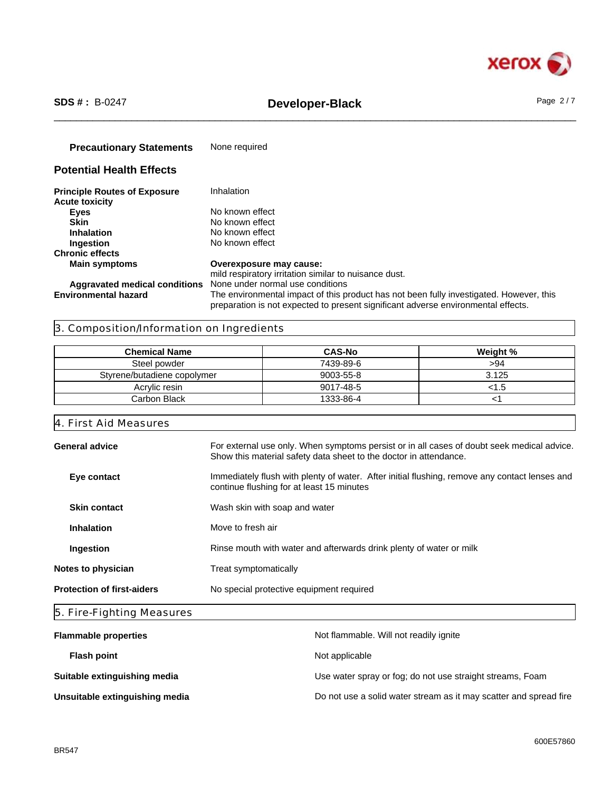

# \_\_\_\_\_\_\_\_\_\_\_\_\_\_\_\_\_\_\_\_\_\_\_\_\_\_\_\_\_\_\_\_\_\_\_\_\_\_\_\_\_\_\_\_\_\_\_\_\_\_\_\_\_\_\_\_\_\_\_\_\_\_\_\_\_\_\_\_\_\_\_\_\_\_\_\_\_\_\_\_\_\_\_\_\_\_\_\_\_\_\_\_\_\_ **SDS # :** B-0247 **Developer-Black** Page 2 / 7

**Precautionary Statements** None required

# **Potential Health Effects**

| <b>Principle Routes of Exposure</b> | Inhalation                                                                              |
|-------------------------------------|-----------------------------------------------------------------------------------------|
| <b>Acute toxicity</b>               |                                                                                         |
| Eyes                                | No known effect                                                                         |
| <b>Skin</b>                         | No known effect                                                                         |
| <b>Inhalation</b>                   | No known effect                                                                         |
| <b>Ingestion</b>                    | No known effect                                                                         |
| <b>Chronic effects</b>              |                                                                                         |
| <b>Main symptoms</b>                | Overexposure may cause:                                                                 |
|                                     | mild respiratory irritation similar to nuisance dust.                                   |
|                                     | <b>Aggravated medical conditions</b> None under normal use conditions                   |
| <b>Environmental hazard</b>         | The environmental impact of this product has not been fully investigated. However, this |
|                                     | preparation is not expected to present significant adverse environmental effects.       |

# 3. Composition/Information on Ingredients

| <b>Chemical Name</b>        | <b>CAS-No</b> | Weight % |
|-----------------------------|---------------|----------|
| Steel powder                | 7439-89-6     | >94      |
| Styrene/butadiene copolymer | 9003-55-8     | 3.125    |
| Acrylic resin               | 9017-48-5     | ⊂. l`>   |
| Carbon Black                | 1333-86-4     |          |

4. First Aid Measures

| General advice                                                                   | For external use only. When symptoms persist or in all cases of doubt seek medical advice.<br>Show this material safety data sheet to the doctor in attendance. |  |
|----------------------------------------------------------------------------------|-----------------------------------------------------------------------------------------------------------------------------------------------------------------|--|
| Eye contact                                                                      | Immediately flush with plenty of water. After initial flushing, remove any contact lenses and<br>continue flushing for at least 15 minutes                      |  |
| <b>Skin contact</b>                                                              | Wash skin with soap and water                                                                                                                                   |  |
| <b>Inhalation</b>                                                                | Move to fresh air                                                                                                                                               |  |
| Rinse mouth with water and afterwards drink plenty of water or milk<br>Ingestion |                                                                                                                                                                 |  |
| Notes to physician                                                               | Treat symptomatically                                                                                                                                           |  |
| <b>Protection of first-aiders</b>                                                | No special protective equipment required                                                                                                                        |  |
|                                                                                  |                                                                                                                                                                 |  |

# 5. Fire-Fighting Measures

| <b>Flammable properties</b>    | Not flammable. Will not readily ignite                            |
|--------------------------------|-------------------------------------------------------------------|
| <b>Flash point</b>             | Not applicable                                                    |
| Suitable extinguishing media   | Use water spray or fog; do not use straight streams, Foam         |
| Unsuitable extinguishing media | Do not use a solid water stream as it may scatter and spread fire |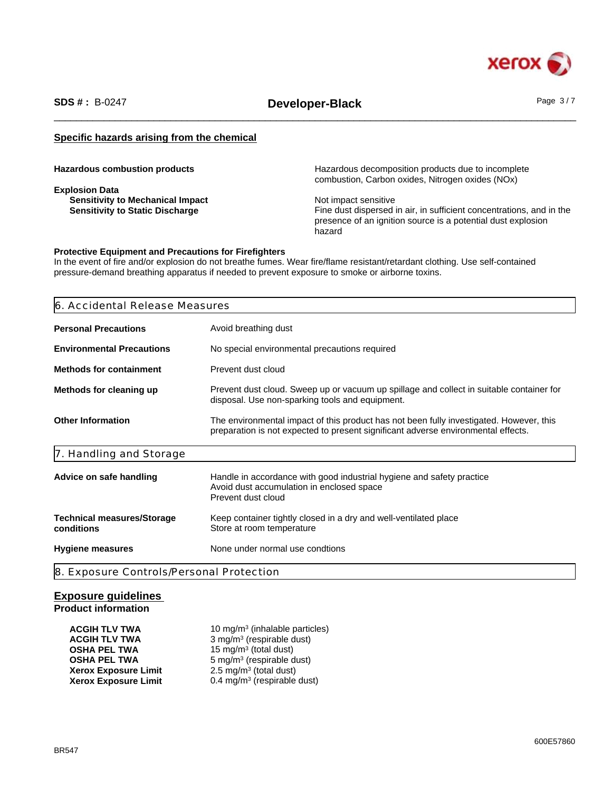

\_\_\_\_\_\_\_\_\_\_\_\_\_\_\_\_\_\_\_\_\_\_\_\_\_\_\_\_\_\_\_\_\_\_\_\_\_\_\_\_\_\_\_\_\_\_\_\_\_\_\_\_\_\_\_\_\_\_\_\_\_\_\_\_\_\_\_\_\_\_\_\_\_\_\_\_\_\_\_\_\_\_\_\_\_\_\_\_\_\_\_\_\_\_ **SDS # :** B-0247 **Developer-Black** Page 3 / 7

# **Specific hazards arising from the chemical**

**Explosion Data Sensitivity to Mechanical Impact**<br> **Sensitivity to Static Discharge**<br> **Sensitivity to Static Discharge**<br> **Sensitivity to Static Discharge** 

**Hazardous combustion products Hazardous decomposition products due to incomplete** combustion, Carbon oxides, Nitrogen oxides (NOx)

> Fine dust dispersed in air, in sufficient concentrations, and in the presence of an ignition source is a potential dust explosion hazard

## **Protective Equipment and Precautions for Firefighters**

In the event of fire and/or explosion do not breathe fumes. Wear fire/flame resistant/retardant clothing. Use self-contained pressure-demand breathing apparatus if needed to prevent exposure to smoke or airborne toxins.

# 6. Accidental Release Measures

| <b>Personal Precautions</b>                                                                                                                                                                              | Avoid breathing dust                                                                                                                     |  |
|----------------------------------------------------------------------------------------------------------------------------------------------------------------------------------------------------------|------------------------------------------------------------------------------------------------------------------------------------------|--|
| <b>Environmental Precautions</b>                                                                                                                                                                         | No special environmental precautions required                                                                                            |  |
| <b>Methods for containment</b>                                                                                                                                                                           | Prevent dust cloud                                                                                                                       |  |
| Methods for cleaning up<br>Prevent dust cloud. Sweep up or vacuum up spillage and collect in suitable container for<br>disposal. Use non-sparking tools and equipment.                                   |                                                                                                                                          |  |
| <b>Other Information</b><br>The environmental impact of this product has not been fully investigated. However, this<br>preparation is not expected to present significant adverse environmental effects. |                                                                                                                                          |  |
| 7. Handling and Storage                                                                                                                                                                                  |                                                                                                                                          |  |
| Advice on safe handling                                                                                                                                                                                  | Handle in accordance with good industrial hygiene and safety practice<br>Avoid dust accumulation in enclosed space<br>Prevent dust cloud |  |
| <b>Technical measures/Storage</b><br>conditions                                                                                                                                                          | Keep container tightly closed in a dry and well-ventilated place<br>Store at room temperature                                            |  |
| <b>Hygiene measures</b>                                                                                                                                                                                  | None under normal use condtions                                                                                                          |  |

# **Exposure guidelines**

# **Product information**

| <b>ACGIH TLV TWA</b>        | 10 mg/m <sup>3</sup> (inhalable particles) |
|-----------------------------|--------------------------------------------|
| <b>ACGIH TLV TWA</b>        | 3 mg/m <sup>3</sup> (respirable dust)      |
| <b>OSHA PEL TWA</b>         | 15 mg/m <sup>3</sup> (total dust)          |
| <b>OSHA PEL TWA</b>         | $5 \text{ mg/m}^3$ (respirable dust)       |
| <b>Xerox Exposure Limit</b> | 2.5 mg/m <sup>3</sup> (total dust)         |
| <b>Xerox Exposure Limit</b> | 0.4 mg/m <sup>3</sup> (respirable dust)    |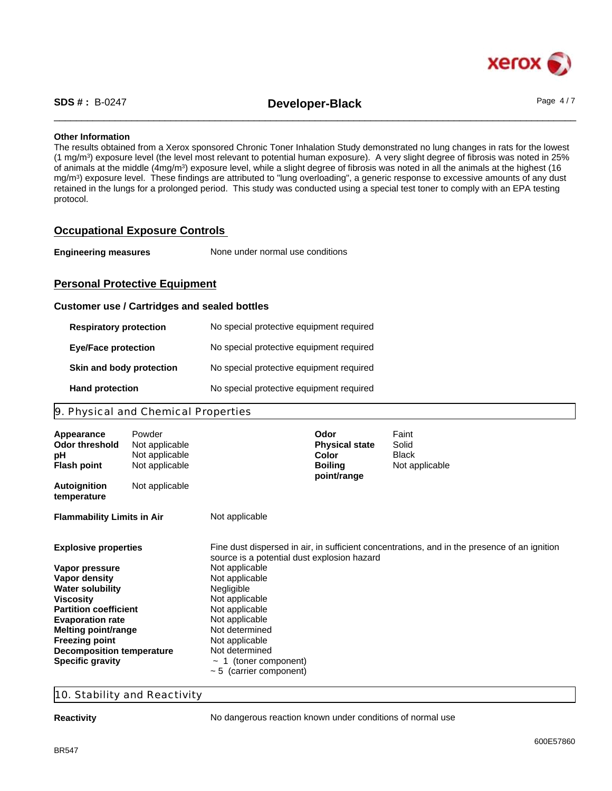

\_\_\_\_\_\_\_\_\_\_\_\_\_\_\_\_\_\_\_\_\_\_\_\_\_\_\_\_\_\_\_\_\_\_\_\_\_\_\_\_\_\_\_\_\_\_\_\_\_\_\_\_\_\_\_\_\_\_\_\_\_\_\_\_\_\_\_\_\_\_\_\_\_\_\_\_\_\_\_\_\_\_\_\_\_\_\_\_\_\_\_\_\_\_ **SDS # :** B-0247 **Developer-Black** Page 4 / 7

## **Other Information**

The results obtained from a Xerox sponsored Chronic Toner Inhalation Study demonstrated no lung changes in rats for the lowest (1 mg/m<sup>3</sup> ) exposure level (the level most relevant to potential human exposure). A very slight degree of fibrosis was noted in 25% of animals at the middle (4mg/m<sup>3</sup>) exposure level, while a slight degree of fibrosis was noted in all the animals at the highest (16 mg/m<sup>3</sup> ) exposure level. These findings are attributed to "lung overloading", a generic response to excessive amounts of any dust retained in the lungs for a prolonged period. This study was conducted using a special test toner to comply with an EPA testing protocol.

# **Occupational Exposure Controls**

| <b>Engineering measures</b> | None under normal use conditions |  |
|-----------------------------|----------------------------------|--|
|-----------------------------|----------------------------------|--|

# **Personal Protective Equipment**

## **Customer use / Cartridges and sealed bottles**

| <b>Respiratory protection</b> | No special protective equipment required |
|-------------------------------|------------------------------------------|
| <b>Eye/Face protection</b>    | No special protective equipment required |
| Skin and body protection      | No special protective equipment required |
| <b>Hand protection</b>        | No special protective equipment required |

# 9. Physical and Chemical Properties

| Appearance<br><b>Odor threshold</b><br>рH<br><b>Flash point</b>                  | Powder<br>Not applicable<br>Not applicable<br>Not applicable |                                                               | Odor<br><b>Physical state</b><br>Color<br><b>Boiling</b> | Faint<br>Solid<br><b>Black</b><br>Not applicable                                             |
|----------------------------------------------------------------------------------|--------------------------------------------------------------|---------------------------------------------------------------|----------------------------------------------------------|----------------------------------------------------------------------------------------------|
| <b>Autoignition</b><br>temperature                                               | Not applicable                                               |                                                               | point/range                                              |                                                                                              |
| <b>Flammability Limits in Air</b>                                                |                                                              | Not applicable                                                |                                                          |                                                                                              |
| <b>Explosive properties</b><br>Vapor pressure                                    |                                                              | source is a potential dust explosion hazard<br>Not applicable |                                                          | Fine dust dispersed in air, in sufficient concentrations, and in the presence of an ignition |
| Vapor density<br><b>Water solubility</b>                                         |                                                              | Not applicable<br>Negligible<br>Not applicable                |                                                          |                                                                                              |
| <b>Viscosity</b><br><b>Partition coefficient</b><br><b>Evaporation rate</b>      |                                                              | Not applicable<br>Not applicable                              |                                                          |                                                                                              |
| Melting point/range<br><b>Freezing point</b><br><b>Decomposition temperature</b> |                                                              | Not determined<br>Not applicable<br>Not determined            |                                                          |                                                                                              |
| <b>Specific gravity</b>                                                          |                                                              | 1 (toner component)<br>$\sim$ 5 (carrier component)           |                                                          |                                                                                              |

# 10. Stability and Reactivity

**Reactivity Reactivity No dangerous reaction known under conditions of normal use**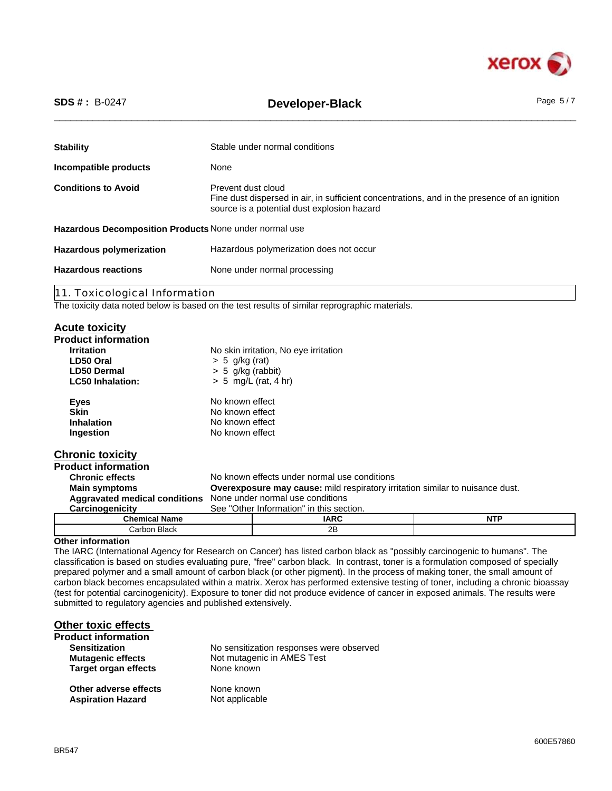

| $SDS # : B-0247$                                                                                                                       | Page $5/7$<br>Developer-Black                                                                                                                                     |  |  |
|----------------------------------------------------------------------------------------------------------------------------------------|-------------------------------------------------------------------------------------------------------------------------------------------------------------------|--|--|
| <b>Stability</b>                                                                                                                       | Stable under normal conditions                                                                                                                                    |  |  |
| Incompatible products                                                                                                                  | None                                                                                                                                                              |  |  |
| <b>Conditions to Avoid</b>                                                                                                             | Prevent dust cloud<br>Fine dust dispersed in air, in sufficient concentrations, and in the presence of an ignition<br>source is a potential dust explosion hazard |  |  |
| Hazardous Decomposition Products None under normal use                                                                                 |                                                                                                                                                                   |  |  |
| <b>Hazardous polymerization</b>                                                                                                        | Hazardous polymerization does not occur                                                                                                                           |  |  |
| <b>Hazardous reactions</b>                                                                                                             | None under normal processing                                                                                                                                      |  |  |
| 11. Toxicological Information                                                                                                          |                                                                                                                                                                   |  |  |
|                                                                                                                                        | The toxicity data noted below is based on the test results of similar reprographic materials.                                                                     |  |  |
| <b>Acute toxicity</b><br><b>Product information</b><br><b>Irritation</b><br>LD50 Oral<br><b>LD50 Dermal</b><br><b>LC50 Inhalation:</b> | No skin irritation, No eye irritation<br>$> 5$ g/kg (rat)<br>$> 5$ g/kg (rabbit)<br>$> 5$ mg/L (rat, 4 hr)                                                        |  |  |

| Eyes              | No known effect |
|-------------------|-----------------|
| <b>Skin</b>       | No known effect |
| <b>Inhalation</b> | No known effect |
| Ingestion         | No known effect |
|                   |                 |

# **Chronic toxicity**

| <b>Product information</b>                                            |                                                                               |                                          |            |
|-----------------------------------------------------------------------|-------------------------------------------------------------------------------|------------------------------------------|------------|
| <b>Chronic effects</b>                                                | No known effects under normal use conditions                                  |                                          |            |
| <b>Main symptoms</b>                                                  | Overexposure may cause: mild respiratory irritation similar to nuisance dust. |                                          |            |
| <b>Aggravated medical conditions</b> None under normal use conditions |                                                                               |                                          |            |
| Carcinogenicity                                                       |                                                                               | See "Other Information" in this section. |            |
| <b>Chemical Name</b>                                                  |                                                                               | <b>IARC</b>                              | <b>NTP</b> |
| Carbon Black                                                          |                                                                               | 2B                                       |            |

# **Other information**

The IARC (International Agency for Research on Cancer) has listed carbon black as "possibly carcinogenic to humans". The classification is based on studies evaluating pure, "free" carbon black. In contrast, toner is a formulation composed of specially prepared polymer and a small amount of carbon black (or other pigment). In the process of making toner, the small amount of carbon black becomes encapsulated within a matrix. Xerox has performed extensive testing of toner, including a chronic bioassay (test for potential carcinogenicity). Exposure to toner did not produce evidence of cancer in exposed animals. The results were submitted to regulatory agencies and published extensively.

| Other toxic effects                               |                                          |
|---------------------------------------------------|------------------------------------------|
| <b>Product information</b>                        |                                          |
| <b>Sensitization</b>                              | No sensitization responses were observed |
| <b>Mutagenic effects</b>                          | Not mutagenic in AMES Test               |
| <b>Target organ effects</b>                       | None known                               |
| Other adverse effects<br><b>Aspiration Hazard</b> | None known<br>Not applicable             |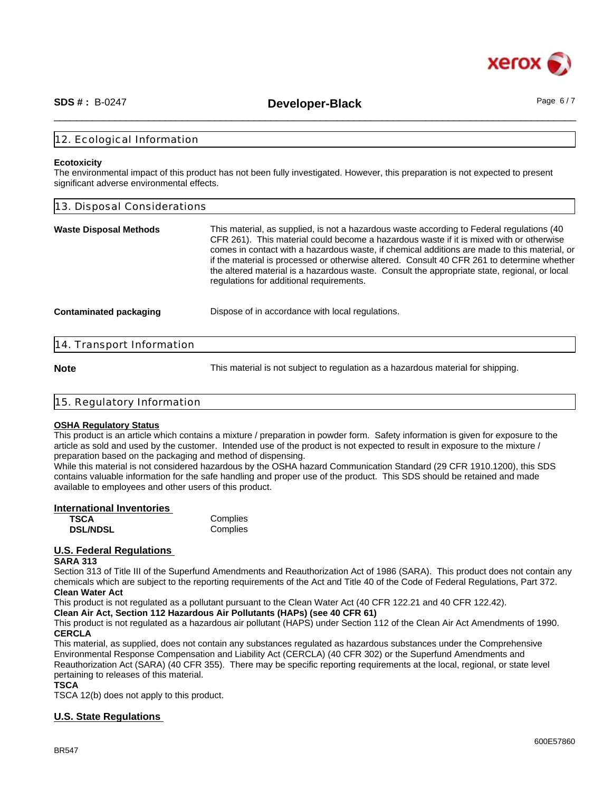

\_\_\_\_\_\_\_\_\_\_\_\_\_\_\_\_\_\_\_\_\_\_\_\_\_\_\_\_\_\_\_\_\_\_\_\_\_\_\_\_\_\_\_\_\_\_\_\_\_\_\_\_\_\_\_\_\_\_\_\_\_\_\_\_\_\_\_\_\_\_\_\_\_\_\_\_\_\_\_\_\_\_\_\_\_\_\_\_\_\_\_\_\_\_ **SDS # :** B-0247 **Developer-Black** Page 6 / 7

# 12. Ecological Information

#### **Ecotoxicity**

The environmental impact of this product has not been fully investigated. However, this preparation is not expected to present significant adverse environmental effects.

| 13. Disposal Considerations                                                                                                                                                                                                                                                                                                                                                                                                                                                                                                    |  |  |
|--------------------------------------------------------------------------------------------------------------------------------------------------------------------------------------------------------------------------------------------------------------------------------------------------------------------------------------------------------------------------------------------------------------------------------------------------------------------------------------------------------------------------------|--|--|
| This material, as supplied, is not a hazardous waste according to Federal regulations (40<br>CFR 261). This material could become a hazardous waste if it is mixed with or otherwise<br>comes in contact with a hazardous waste, if chemical additions are made to this material, or<br>if the material is processed or otherwise altered. Consult 40 CFR 261 to determine whether<br>the altered material is a hazardous waste. Consult the appropriate state, regional, or local<br>regulations for additional requirements. |  |  |
| Dispose of in accordance with local regulations.                                                                                                                                                                                                                                                                                                                                                                                                                                                                               |  |  |
| 14. Transport Information                                                                                                                                                                                                                                                                                                                                                                                                                                                                                                      |  |  |
|                                                                                                                                                                                                                                                                                                                                                                                                                                                                                                                                |  |  |

**Note** This material is not subject to regulation as a hazardous material for shipping.

| 15. Regulatory Information |  |
|----------------------------|--|
|                            |  |

#### **OSHA Regulatory Status**

This product is an article which contains a mixture / preparation in powder form. Safety information is given for exposure to the article as sold and used by the customer. Intended use of the product is not expected to result in exposure to the mixture / preparation based on the packaging and method of dispensing.

While this material is not considered hazardous by the OSHA hazard Communication Standard (29 CFR 1910.1200), this SDS contains valuable information for the safe handling and proper use of the product. This SDS should be retained and made available to employees and other users of this product.

| International Inventories |          |  |
|---------------------------|----------|--|
| <b>TSCA</b>               | Complies |  |
| <b>DSL/NDSL</b>           | Complies |  |

# **U.S. Federal Regulations**

#### **SARA 313**

Section 313 of Title III of the Superfund Amendments and Reauthorization Act of 1986 (SARA). This product does not contain any chemicals which are subject to the reporting requirements of the Act and Title 40 of the Code of Federal Regulations, Part 372. **Clean Water Act**

This product is not regulated as a pollutant pursuant to the Clean Water Act (40 CFR 122.21 and 40 CFR 122.42).

**Clean Air Act, Section 112 Hazardous Air Pollutants (HAPs) (see 40 CFR 61)**

This product is not regulated as a hazardous air pollutant (HAPS) under Section 112 of the Clean Air Act Amendments of 1990. **CERCLA**

This material, as supplied, does not contain any substances regulated as hazardous substances under the Comprehensive Environmental Response Compensation and Liability Act (CERCLA) (40 CFR 302) or the Superfund Amendments and Reauthorization Act (SARA) (40 CFR 355). There may be specific reporting requirements at the local, regional, or state level pertaining to releases of this material.

## **TSCA**

TSCA 12(b) does not apply to this product.

# **U.S. State Regulations**